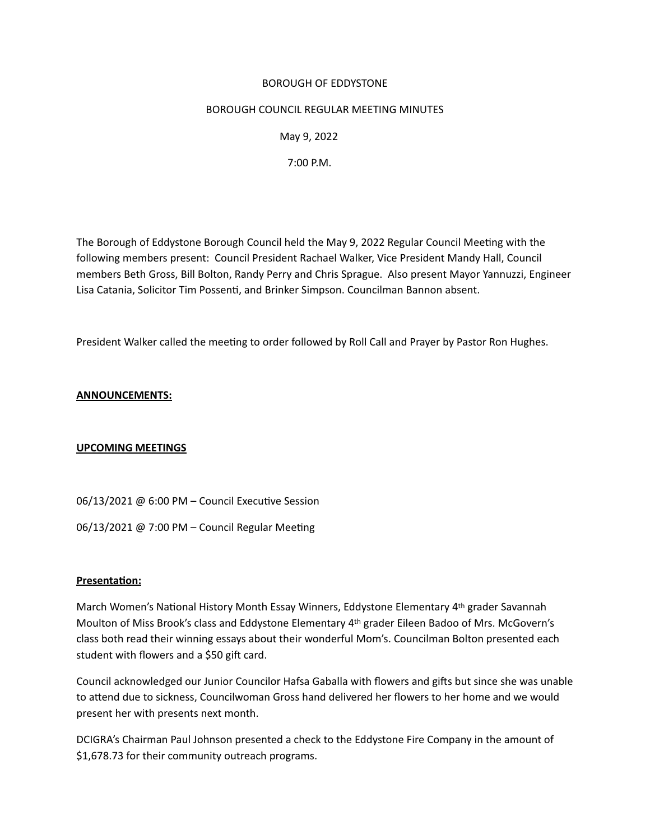### BOROUGH OF EDDYSTONE

### BOROUGH COUNCIL REGULAR MEETING MINUTES

 May 9, 2022

 7:00 P.M.

The Borough of Eddystone Borough Council held the May 9, 2022 Regular Council Meetng with the following members present: Council President Rachael Walker, Vice President Mandy Hall, Council members Beth Gross, Bill Bolton, Randy Perry and Chris Sprague. Also present Mayor Yannuzzi, Engineer Lisa Catania, Solicitor Tim Possenti, and Brinker Simpson. Councilman Bannon absent.

President Walker called the meetng to order followed by Roll Call and Prayer by Pastor Ron Hughes. 

# **ANNOUNCEMENTS:**

# **UPCOMING MEETINGS**

06/13/2021 @ 6:00 PM - Council Executive Session

06/13/2021 @ 7:00 PM - Council Regular Meeting

# **Presentaton:**

March Women's National History Month Essay Winners, Eddystone Elementary 4th grader Savannah Moulton of Miss Brook's class and Eddystone Elementary 4th grader Eileen Badoo of Mrs. McGovern's class both read their winning essays about their wonderful Mom's. Councilman Bolton presented each student with flowers and a \$50 gift card.

Council acknowledged our Junior Councilor Hafsa Gaballa with flowers and gifts but since she was unable to attend due to sickness, Councilwoman Gross hand delivered her flowers to her home and we would present her with presents next month.

DCIGRA's Chairman Paul Johnson presented a check to the Eddystone Fire Company in the amount of \$1,678.73 for their community outreach programs.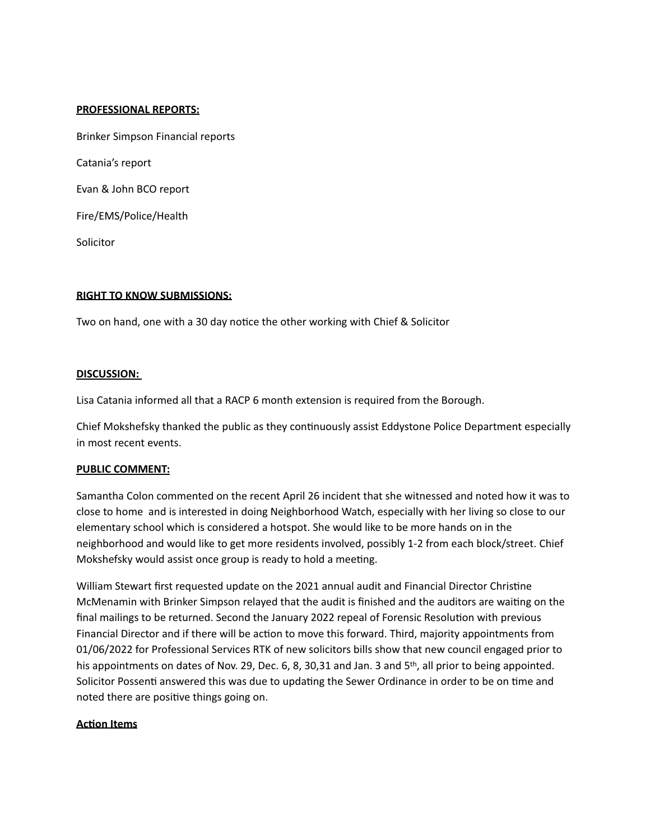## **PROFESSIONAL REPORTS:**

Brinker Simpson Financial reports

Catania's report

Evan & John BCO report

Fire/EMS/Police/Health

Solicitor

## **RIGHT TO KNOW SUBMISSIONS:**

Two on hand, one with a 30 day notice the other working with Chief & Solicitor

## **DISCUSSION:**

Lisa Catania informed all that a RACP 6 month extension is required from the Borough. 

Chief Mokshefsky thanked the public as they continuously assist Eddystone Police Department especially in most recent events.

#### **PUBLIC COMMENT:**

Samantha Colon commented on the recent April 26 incident that she witnessed and noted how it was to close to home and is interested in doing Neighborhood Watch, especially with her living so close to our elementary school which is considered a hotspot. She would like to be more hands on in the neighborhood and would like to get more residents involved, possibly 1-2 from each block/street. Chief Mokshefsky would assist once group is ready to hold a meeting.

William Stewart first requested update on the 2021 annual audit and Financial Director Christine McMenamin with Brinker Simpson relayed that the audit is finished and the auditors are waiting on the final mailings to be returned. Second the January 2022 repeal of Forensic Resoluton with previous Financial Director and if there will be action to move this forward. Third, majority appointments from 01/06/2022 for Professional Services RTK of new solicitors bills show that new council engaged prior to his appointments on dates of Nov. 29, Dec. 6, 8, 30,31 and Jan. 3 and 5<sup>th</sup>, all prior to being appointed. Solicitor Possenti answered this was due to updating the Sewer Ordinance in order to be on time and noted there are positve things going on.

#### **Acton Items**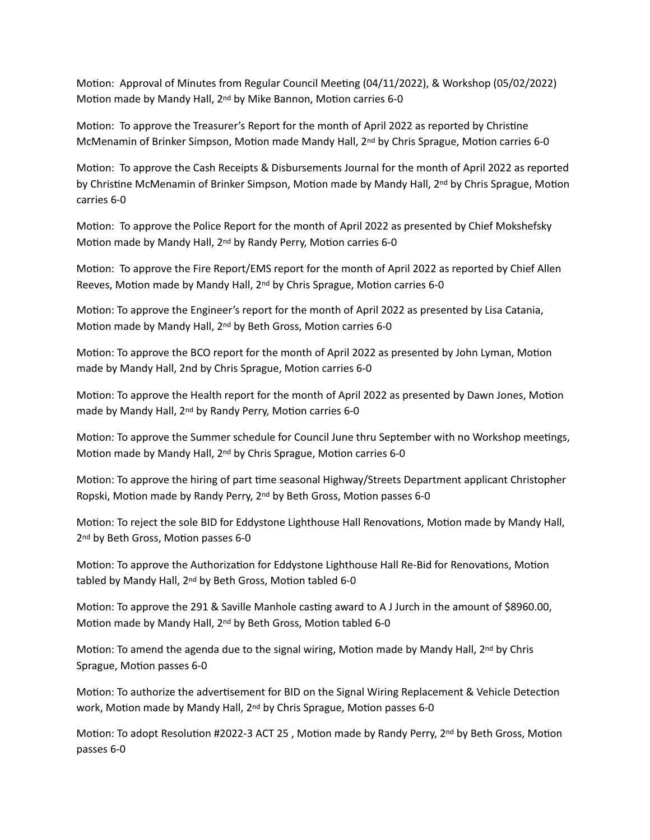Motion: Approval of Minutes from Regular Council Meeting (04/11/2022), & Workshop (05/02/2022) Motion made by Mandy Hall, 2<sup>nd</sup> by Mike Bannon, Motion carries 6-0

Motion: To approve the Treasurer's Report for the month of April 2022 as reported by Christine McMenamin of Brinker Simpson, Motion made Mandy Hall, 2<sup>nd</sup> by Chris Sprague, Motion carries 6-0

Motion: To approve the Cash Receipts & Disbursements Journal for the month of April 2022 as reported by Christine McMenamin of Brinker Simpson, Motion made by Mandy Hall, 2<sup>nd</sup> by Chris Sprague, Motion carries 6-0

Motion: To approve the Police Report for the month of April 2022 as presented by Chief Mokshefsky Motion made by Mandy Hall, 2<sup>nd</sup> by Randy Perry, Motion carries 6-0

Motion: To approve the Fire Report/EMS report for the month of April 2022 as reported by Chief Allen Reeves, Motion made by Mandy Hall, 2<sup>nd</sup> by Chris Sprague, Motion carries 6-0

Motion: To approve the Engineer's report for the month of April 2022 as presented by Lisa Catania, Motion made by Mandy Hall, 2<sup>nd</sup> by Beth Gross, Motion carries 6-0

Motion: To approve the BCO report for the month of April 2022 as presented by John Lyman, Motion made by Mandy Hall, 2nd by Chris Sprague, Motion carries 6-0

Motion: To approve the Health report for the month of April 2022 as presented by Dawn Jones, Motion made by Mandy Hall, 2<sup>nd</sup> by Randy Perry, Motion carries 6-0

Motion: To approve the Summer schedule for Council June thru September with no Workshop meetings, Motion made by Mandy Hall, 2<sup>nd</sup> by Chris Sprague, Motion carries 6-0

Motion: To approve the hiring of part time seasonal Highway/Streets Department applicant Christopher Ropski, Motion made by Randy Perry, 2<sup>nd</sup> by Beth Gross, Motion passes 6-0

Motion: To reject the sole BID for Eddystone Lighthouse Hall Renovations, Motion made by Mandy Hall, 2<sup>nd</sup> by Beth Gross, Motion passes 6-0

Motion: To approve the Authorization for Eddystone Lighthouse Hall Re-Bid for Renovations, Motion tabled by Mandy Hall, 2<sup>nd</sup> by Beth Gross, Motion tabled 6-0

Motion: To approve the 291 & Saville Manhole casting award to A J Jurch in the amount of \$8960.00, Motion made by Mandy Hall, 2<sup>nd</sup> by Beth Gross, Motion tabled 6-0

Motion: To amend the agenda due to the signal wiring, Motion made by Mandy Hall,  $2^{nd}$  by Chris Sprague, Motion passes 6-0

Motion: To authorize the advertisement for BID on the Signal Wiring Replacement & Vehicle Detection work, Motion made by Mandy Hall, 2<sup>nd</sup> by Chris Sprague, Motion passes 6-0

Motion: To adopt Resolution #2022-3 ACT 25, Motion made by Randy Perry, 2<sup>nd</sup> by Beth Gross, Motion passes 6-0